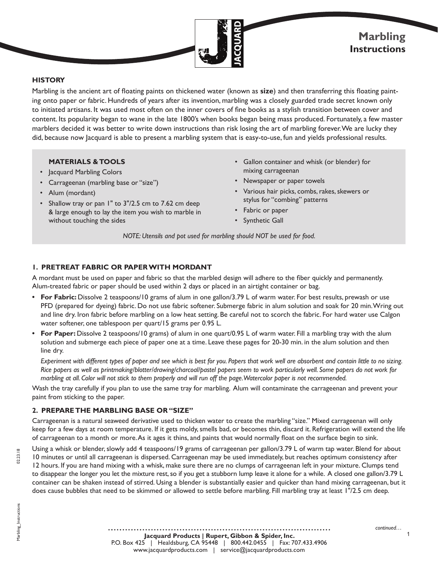

## **HISTORY**

Marbling is the ancient art of floating paints on thickened water (known as **size**) and then transferring this floating painting onto paper or fabric. Hundreds of years after its invention, marbling was a closely guarded trade secret known only to initiated artisans. It was used most often on the inner covers of fine books as a stylish transition between cover and content. Its popularity began to wane in the late 1800's when books began being mass produced. Fortunately, a few master marblers decided it was better to write down instructions than risk losing the art of marbling forever. We are lucky they did, because now Jacquard is able to present a marbling system that is easy-to-use, fun and yields professional results.

#### **MATERIALS & TOOLS**

- Jacquard Marbling Colors
- Carrageenan (marbling base or "size")
- Alum (mordant)
- Shallow tray or pan 1" to 3"/2.5 cm to 7.62 cm deep & large enough to lay the item you wish to marble in without touching the sides
- Gallon container and whisk (or blender) for mixing carrageenan
- Newspaper or paper towels
- Various hair picks, combs, rakes, skewers or stylus for "combing" patterns
- Fabric or paper
- Synthetic Gall

*NOTE: Utensils and pot used for marbling should NOT be used for food.*

## **1. PRETREAT FABRIC OR PAPER WITH MORDANT**

A mordant must be used on paper and fabric so that the marbled design will adhere to the fiber quickly and permanently. Alum-treated fabric or paper should be used within 2 days or placed in an airtight container or bag.

- **• For Fabric:** Dissolve 2 teaspoons/10 grams of alum in one gallon/3.79 L of warm water. For best results, prewash or use PFD (prepared for dyeing) fabric. Do not use fabric softener. Submerge fabric in alum solution and soak for 20 min. Wring out and line dry. Iron fabric before marbling on a low heat setting. Be careful not to scorch the fabric. For hard water use Calgon water softener, one tablespoon per quart/15 grams per 0.95 L.
- **• For Paper:** Dissolve 2 teaspoons/10 grams) of alum in one quart/0.95 L of warm water. Fill a marbling tray with the alum solution and submerge each piece of paper one at a time. Leave these pages for 20-30 min. in the alum solution and then line dry.

*Experiment with different types of paper and see which is best for you. Papers that work well are absorbent and contain little to no sizing. Rice papers as well as printmaking/blotter/drawing/charcoal/pastel papers seem to work particularly well. Some papers do not work for marbling at all. Color will not stick to them properly and will run off the page. Watercolor paper is not recommended.* 

Wash the tray carefully if you plan to use the same tray for marbling. Alum will contaminate the carrageenan and prevent your paint from sticking to the paper.

#### **2. PREPARE THE MARBLING BASE OR "SIZE"**

Carrageenan is a natural seaweed derivative used to thicken water to create the marbling "size." Mixed carrageenan will only keep for a few days at room temperature. If it gets moldy, smells bad, or becomes thin, discard it. Refrigeration will extend the life of carrageenan to a month or more. As it ages it thins, and paints that would normally float on the surface begin to sink.

Using a whisk or blender, slowly add 4 teaspoons/19 grams of carrageenan per gallon/3.79 L of warm tap water. Blend for about 10 minutes or until all carrageenan is dispersed. Carrageenan may be used immediately, but reaches optimum consistency after 12 hours. If you are hand mixing with a whisk, make sure there are no clumps of carrageenan left in your mixture. Clumps tend to disappear the longer you let the mixture rest, so if you get a stubborn lump leave it alone for a while. A closed one gallon/3.79 L container can be shaken instead of stirred. Using a blender is substantially easier and quicker than hand mixing carrageenan, but it

does cause bubbles that need to be skimmed or allowed to settle before marbling. Fill marbling tray at least 1"/2.5 cm deep.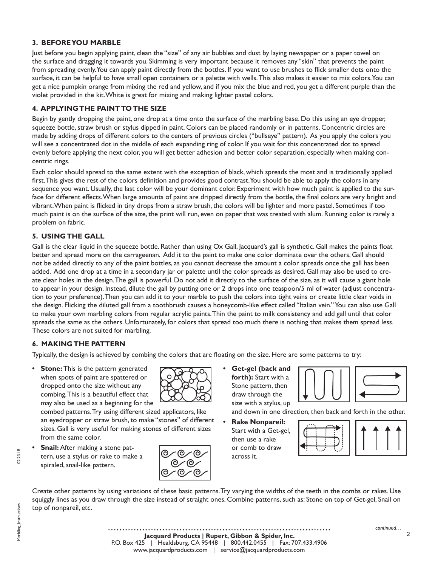## **3. BEFORE YOU MARBLE**

Just before you begin applying paint, clean the "size" of any air bubbles and dust by laying newspaper or a paper towel on the surface and dragging it towards you. Skimming is very important because it removes any "skin" that prevents the paint from spreading evenly. You can apply paint directly from the bottles. If you want to use brushes to flick smaller dots onto the surface, it can be helpful to have small open containers or a palette with wells. This also makes it easier to mix colors. You can get a nice pumpkin orange from mixing the red and yellow, and if you mix the blue and red, you get a different purple than the violet provided in the kit. White is great for mixing and making lighter pastel colors.

## **4. APPLYING THE PAINT TO THE SIZE**

Begin by gently dropping the paint, one drop at a time onto the surface of the marbling base. Do this using an eye dropper, squeeze bottle, straw brush or stylus dipped in paint. Colors can be placed randomly or in patterns. Concentric circles are made by adding drops of different colors to the centers of previous circles ("bullseye" pattern). As you apply the colors you will see a concentrated dot in the middle of each expanding ring of color. If you wait for this concentrated dot to spread evenly before applying the next color, you will get better adhesion and better color separation, especially when making concentric rings.

Each color should spread to the same extent with the exception of black, which spreads the most and is traditionally applied first. This gives the rest of the colors definition and provides good contrast. You should be able to apply the colors in any sequence you want. Usually, the last color will be your dominant color. Experiment with how much paint is applied to the surface for different effects. When large amounts of paint are dripped directly from the bottle, the final colors are very bright and vibrant. When paint is flicked in tiny drops from a straw brush, the colors will be lighter and more pastel. Sometimes if too much paint is on the surface of the size, the print will run, even on paper that was treated with alum. Running color is rarely a problem on fabric.

# **5. USING THE GALL**

Gall is the clear liquid in the squeeze bottle. Rather than using Ox Gall, Jacquard's gall is synthetic. Gall makes the paints float better and spread more on the carrageenan. Add it to the paint to make one color dominate over the others. Gall should not be added directly to any of the paint bottles, as you cannot decrease the amount a color spreads once the gall has been added. Add one drop at a time in a secondary jar or palette until the color spreads as desired. Gall may also be used to create clear holes in the design. The gall is powerful. Do not add it directly to the surface of the size, as it will cause a giant hole to appear in your design. Instead, dilute the gall by putting one or 2 drops into one teaspoon/5 ml of water (adjust concentration to your preference). Then you can add it to your marble to push the colors into tight veins or create little clear voids in the design. Flicking the diluted gall from a toothbrush causes a honeycomb-like effect called "Italian vein." You can also use Gall to make your own marbling colors from regular acrylic paints. Thin the paint to milk consistency and add gall until that color spreads the same as the others. Unfortunately, for colors that spread too much there is nothing that makes them spread less. These colors are not suited for marbling.

## **6. MAKING THE PATTERN**

Typically, the design is achieved by combing the colors that are floating on the size. Here are some patterns to try:

**Stone:** This is the pattern generated when spots of paint are spattered or dropped onto the size without any combing. This is a beautiful effect that may also be used as a beginning for the

combed patterns. Try using different sized applicators, like an eyedropper or straw brush, to make "stones" of different sizes. Gall is very useful for making stones of different sizes from the same color.

**• Snail:** After making a stone pattern, use a stylus or rake to make a spiraled, snail-like pattern.



**• Get-gel (back and forth):** Start with a Stone pattern, then draw through the size with a stylus, up



and down in one direction, then back and forth in the other.

**• Rake Nonpareil:** Start with a Get-gel, then use a rake or comb to draw across it.

Create other patterns by using variations of these basic patterns. Try varying the widths of the teeth in the combs or rakes. Use squiggly lines as you draw through the size instead of straight ones. Combine patterns, such as: Stone on top of Get-gel, Snail on top of nonpareil, etc.

 $\mathfrak{p}$